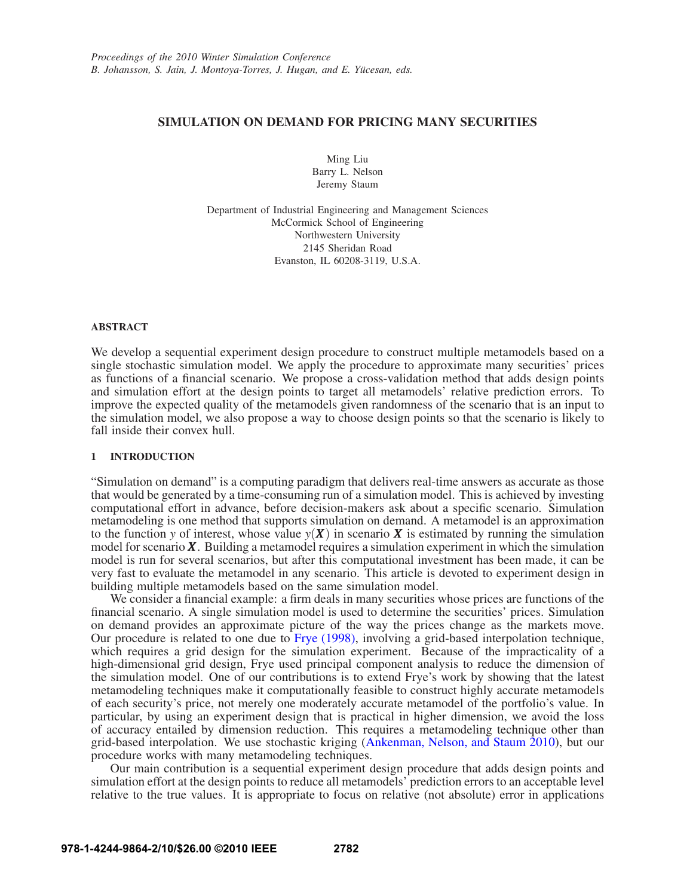# **SIMULATION ON DEMAND FOR PRICING MANY SECURITIES**

Ming Liu Barry L. Nelson Jeremy Staum

Department of Industrial Engineering and Management Sciences McCormick School of Engineering Northwestern University 2145 Sheridan Road Evanston, IL 60208-3119, U.S.A.

## **ABSTRACT**

We develop a sequential experiment design procedure to construct multiple metamodels based on a single stochastic simulation model. We apply the procedure to approximate many securities' prices as functions of a financial scenario. We propose a cross-validation method that adds design points and simulation effort at the design points to target all metamodels' relative prediction errors. To improve the expected quality of the metamodels given randomness of the scenario that is an input to the simulation model, we also propose a way to choose design points so that the scenario is likely to fall inside their convex hull.

### **1 INTRODUCTION**

"Simulation on demand" is a computing paradigm that delivers real-time answers as accurate as those that would be generated by a time-consuming run of a simulation model. This is achieved by investing computational effort in advance, before decision-makers ask about a specific scenario. Simulation metamodeling is one method that supports simulation on demand. A metamodel is an approximation to the function *y* of interest, whose value  $y(X)$  in scenario X is estimated by running the simulation model for scenario *X*. Building a metamodel requires a simulation experiment in which the simulation model is run for several scenarios, but after this computational investment has been made, it can be very fast to evaluate the metamodel in any scenario. This article is devoted to experiment design in building multiple metamodels based on the same simulation model.

We consider a financial example: a firm deals in many securities whose prices are functions of the financial scenario. A single simulation model is used to determine the securities' prices. Simulation on demand provides an approximate picture of the way the prices change as the markets move. Our procedure is related to one due to Frye (1998), involving a grid-based interpolation technique, which requires a grid design for the simulation experiment. Because of the impracticality of a high-dimensional grid design, Frye used principal component analysis to reduce the dimension of the simulation model. One of our contributions is to extend Frye's work by showing that the latest metamodeling techniques make it computationally feasible to construct highly accurate metamodels of each security's price, not merely one moderately accurate metamodel of the portfolio's value. In particular, by using an experiment design that is practical in higher dimension, we avoid the loss of accuracy entailed by dimension reduction. This requires a metamodeling technique other than grid-based interpolation. We use stochastic kriging (Ankenman, Nelson, and Staum 2010), but our procedure works with many metamodeling techniques.

Our main contribution is a sequential experiment design procedure that adds design points and simulation effort at the design points to reduce all metamodels' prediction errors to an acceptable level relative to the true values. It is appropriate to focus on relative (not absolute) error in applications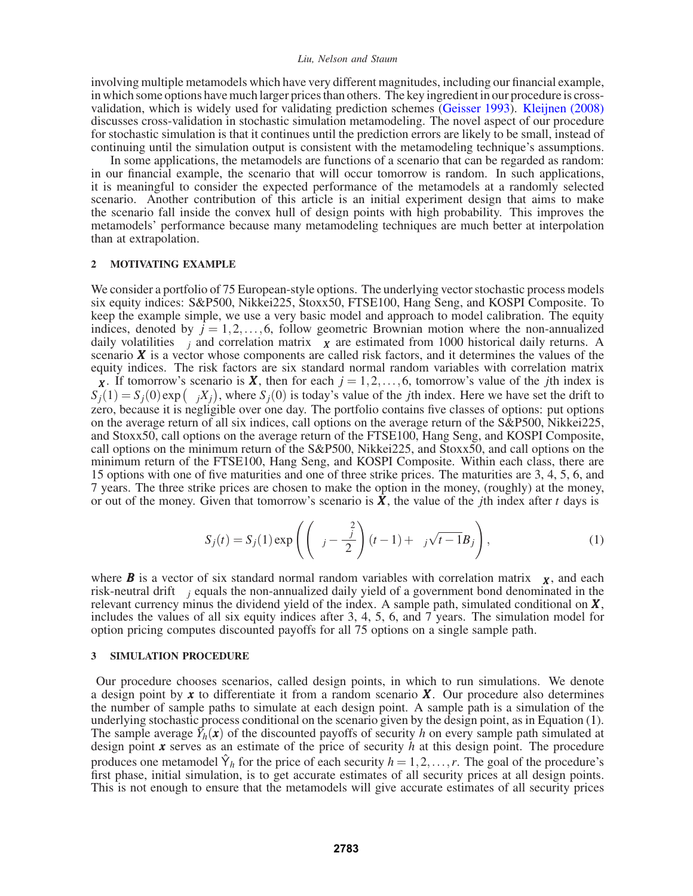involving multiple metamodels which have very different magnitudes, including our financial example, in which some options have much larger prices than others. The key ingredient in our procedure is crossvalidation, which is widely used for validating prediction schemes (Geisser 1993). Kleijnen (2008) discusses cross-validation in stochastic simulation metamodeling. The novel aspect of our procedure for stochastic simulation is that it continues until the prediction errors are likely to be small, instead of continuing until the simulation output is consistent with the metamodeling technique's assumptions.

In some applications, the metamodels are functions of a scenario that can be regarded as random: in our financial example, the scenario that will occur tomorrow is random. In such applications, it is meaningful to consider the expected performance of the metamodels at a randomly selected scenario. Another contribution of this article is an initial experiment design that aims to make the scenario fall inside the convex hull of design points with high probability. This improves the metamodels' performance because many metamodeling techniques are much better at interpolation than at extrapolation.

## **2 MOTIVATING EXAMPLE**

We consider a portfolio of 75 European-style options. The underlying vector stochastic process models six equity indices: S&P500, Nikkei225, Stoxx50, FTSE100, Hang Seng, and KOSPI Composite. To keep the example simple, we use a very basic model and approach to model calibration. The equity indices, denoted by  $\bar{j} = 1, 2, \ldots, 6$ , follow geometric Brownian motion where the non-annualized daily volatilities  $\sigma_i$  and correlation matrix  $\Sigma_X$  are estimated from 1000 historical daily returns. A scenario *X* is a vector whose components are called risk factors, and it determines the values of the equity indices. The risk factors are six standard normal random variables with correlation matrix  $\Sigma$ *X*. If tomorrow's scenario is *X*, then for each  $j = 1, 2, ..., 6$ , tomorrow's value of the *j*th index is  $S_j(1) = S_j(0) \exp(\sigma_j X_j)$ , where  $S_j(0)$  is today's value of the *j*th index. Here we have set the drift to zero, because it is negligible over one day. The portfolio contains five classes of options: put options on the average return of all six indices, call options on the average return of the S&P500, Nikkei225, and Stoxx50, call options on the average return of the FTSE100, Hang Seng, and KOSPI Composite, call options on the minimum return of the S&P500, Nikkei225, and Stoxx50, and call options on the minimum return of the FTSE100, Hang Seng, and KOSPI Composite. Within each class, there are 15 options with one of five maturities and one of three strike prices. The maturities are 3, 4, 5, 6, and 7 years. The three strike prices are chosen to make the option in the money, (roughly) at the money, or out of the money. Given that tomorrow's scenario is  $\overline{X}$ , the value of the *j*th index after *t* days is

$$
S_j(t) = S_j(1) \exp\left(\left(\mu_j - \frac{\sigma_j^2}{2}\right)(t-1) + \sigma_j \sqrt{t-1} B_j\right),\tag{1}
$$

where **B** is a vector of six standard normal random variables with correlation matrix  $\Sigma_{\mathbf{X}}$ , and each risk-neutral drift <sup>µ</sup>*<sup>j</sup>* equals the non-annualized daily yield of a government bond denominated in the relevant currency minus the dividend yield of the index. A sample path, simulated conditional on *X*, includes the values of all six equity indices after 3, 4, 5, 6, and 7 years. The simulation model for option pricing computes discounted payoffs for all 75 options on a single sample path.

### **3 SIMULATION PROCEDURE**

Our procedure chooses scenarios, called design points, in which to run simulations. We denote a design point by *x* to differentiate it from a random scenario *X*. Our procedure also determines the number of sample paths to simulate at each design point. A sample path is a simulation of the underlying stochastic process conditional on the scenario given by the design point, as in Equation (1). The sample average  $\overrightarrow{Y}_h(\mathbf{x})$  of the discounted payoffs of security *h* on every sample path simulated at design point *x* serves as an estimate of the price of security *h* at this design point. The procedure produces one metamodel  $\hat{Y}_h$  for the price of each security  $h = 1, 2, ..., r$ . The goal of the procedure's first phase, initial simulation, is to get accurate estimates of all security prices at all design points. This is not enough to ensure that the metamodels will give accurate estimates of all security prices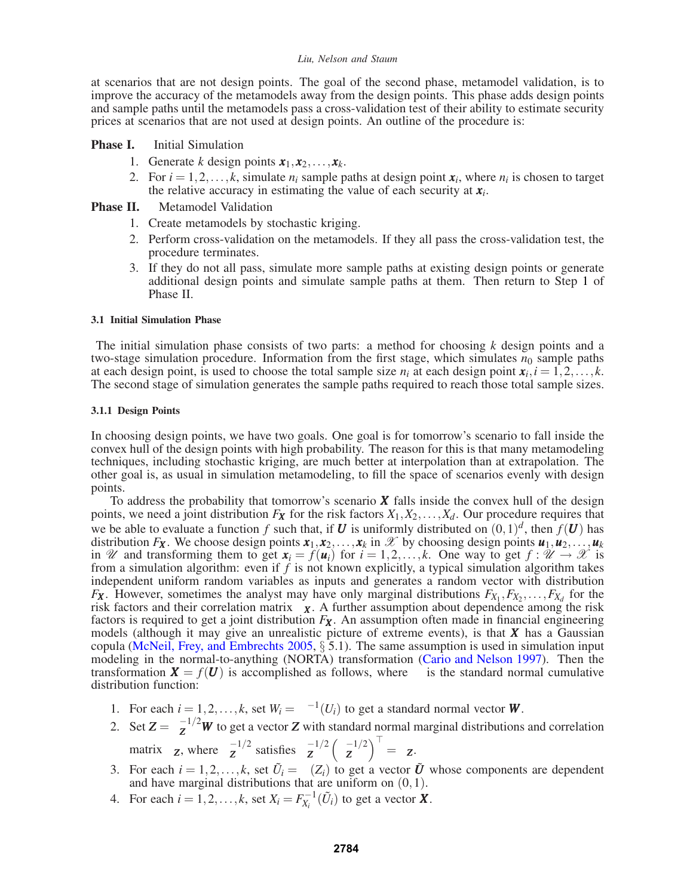at scenarios that are not design points. The goal of the second phase, metamodel validation, is to improve the accuracy of the metamodels away from the design points. This phase adds design points and sample paths until the metamodels pass a cross-validation test of their ability to estimate security prices at scenarios that are not used at design points. An outline of the procedure is:

# **Phase I.** Initial Simulation

- 1. Generate *k* design points  $x_1, x_2, \ldots, x_k$ .
- 2. For  $i = 1, 2, \ldots, k$ , simulate  $n_i$  sample paths at design point  $x_i$ , where  $n_i$  is chosen to target the relative accuracy in estimating the value of each security at  $x_i$ .

# **Phase II.** Metamodel Validation

- 1. Create metamodels by stochastic kriging.
- 2. Perform cross-validation on the metamodels. If they all pass the cross-validation test, the procedure terminates.
- 3. If they do not all pass, simulate more sample paths at existing design points or generate additional design points and simulate sample paths at them. Then return to Step 1 of Phase II.

## **3.1 Initial Simulation Phase**

The initial simulation phase consists of two parts: a method for choosing *k* design points and a two-stage simulation procedure. Information from the first stage, which simulates  $n_0$  sample paths at each design point, is used to choose the total sample size  $n_i$  at each design point  $x_i$ ,  $i = 1, 2, \ldots, k$ . The second stage of simulation generates the sample paths required to reach those total sample sizes.

## **3.1.1 Design Points**

In choosing design points, we have two goals. One goal is for tomorrow's scenario to fall inside the convex hull of the design points with high probability. The reason for this is that many metamodeling techniques, including stochastic kriging, are much better at interpolation than at extrapolation. The other goal is, as usual in simulation metamodeling, to fill the space of scenarios evenly with design points.

To address the probability that tomorrow's scenario *X* falls inside the convex hull of the design points, we need a joint distribution  $F_X$  for the risk factors  $X_1, X_2, \ldots, X_d$ . Our procedure requires that we be able to evaluate a function *f* such that, if *U* is uniformly distributed on  $(0,1)^d$ , then  $f(U)$  has distribution  $F_X$ . We choose design points  $x_1, x_2, \ldots, x_k$  in  $\mathscr X$  by choosing design points  $u_1, u_2, \ldots, u_k$ in U and transforming them to get  $\mathbf{x}_i = f(\mathbf{u}_i)$  for  $i = 1, 2, ..., k$ . One way to get  $f : \mathcal{U} \to \mathcal{X}$  is from a simulation algorithm: even if  $f$  is not known explicitly, a typical simulation algorithm takes independent uniform random variables as inputs and generates a random vector with distribution *Fx*. However, sometimes the analyst may have only marginal distributions  $F_{X_1}, F_{X_2}, \ldots, F_{X_d}$  for the risk factors and their correlation matrix  $\Sigma_{\mathbf{X}}$ . A further assumption about dependence among the risk factors is required to get a joint distribution  $F_X$ . An assumption often made in financial engineering models (although it may give an unrealistic picture of extreme events), is that *X* has a Gaussian copula (McNeil, Frey, and Embrechts 2005,  $\S$  5.1). The same assumption is used in simulation input modeling in the normal-to-anything (NORTA) transformation (Cario and Nelson 1997). Then the transformation  $\mathbf{X} = f(\mathbf{U})$  is accomplished as follows, where  $\Phi$  is the standard normal cumulative distribution function:

- 1. For each  $i = 1, 2, ..., k$ , set  $W_i = \Phi^{-1}(U_i)$  to get a standard normal vector **W**.
- 2. Set  $Z = \Sigma_Z^{-1/2}W$  to get a vector *Z* with standard normal marginal distributions and correlation matrix  $\Sigma$ **z**, where  $\Sigma$ <sup>-1/2</sup> satisfies  $\Sigma$ <sup>-1/2</sup>  $(\Sigma$ <sup>-1/2</sup>  $)$ <sup>-1</sup> =  $\Sigma$ **z**.
- 3. For each  $i = 1, 2, ..., k$ , set  $\tilde{U}_i = \Phi(Z_i)$  to get a vector  $\tilde{U}$  whose components are dependent and have marginal distributions that are uniform on  $(0,1)$ .
- 4. For each  $i = 1, 2, ..., k$ , set  $X_i = F_{X_i}^{-1}(\tilde{U}_i)$  to get a vector **X**.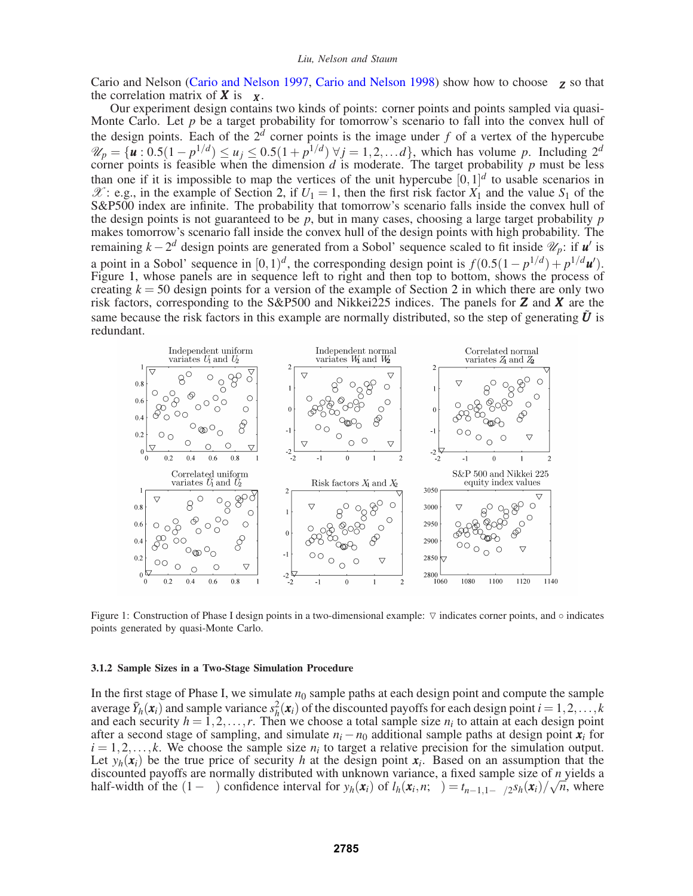Cario and Nelson (Cario and Nelson 1997, Cario and Nelson 1998) show how to choose Σ*<sup>Z</sup>* so that the correlation matrix of  $\boldsymbol{X}$  is  $\Sigma_{\boldsymbol{X}}$ .

Our experiment design contains two kinds of points: corner points and points sampled via quasi-Monte Carlo. Let  $p$  be a target probability for tomorrow's scenario to fall into the convex hull of the design points. Each of the  $2<sup>d</sup>$  corner points is the image under *f* of a vertex of the hypercube  $\mathcal{U}_p = {\mathbf{u} : 0.5(1 - p^{1/d}) \le u_j \le 0.5(1 + p^{1/d}) \forall j = 1, 2, \dots d}$ , which has volume p. Including  $2^d$  corner points is feasible when the dimension d is moderate. The target probability p must be less than one if it is impossible to map the vertices of the unit hypercube  $[0,1]^d$  to usable scenarios in  $\mathscr{X}$ : e.g., in the example of Section 2, if  $U_1 = 1$ , then the first risk factor  $X_1$  and the value  $S_1$  of the S&P500 index are infinite. The probability that tomorrow's scenario falls inside the convex hull of the design points is not guaranteed to be *p*, but in many cases, choosing a large target probability *p* makes tomorrow's scenario fall inside the convex hull of the design points with high probability. The remaining *k*−2<sup>*d*</sup> design points are generated from a Sobol' sequence scaled to fit inside  $\mathcal{U}_p$ : if *u'* is a point in a Sobol' sequence in  $[0,1)^d$ , the corresponding design point is  $f(0.5(1-p^{1/d})+p^{1/d}u')$ . Figure 1, whose panels are in sequence left to right and then top to bottom, shows the process of creating  $k = 50$  design points for a version of the example of Section 2 in which there are only two risk factors, corresponding to the S&P500 and Nikkei225 indices. The panels for *Z* and *X* are the same because the risk factors in this example are normally distributed, so the step of generating  $\tilde{U}$  is redundant.



Figure 1: Construction of Phase I design points in a two-dimensional example:  $∇$  indicates corner points, and ◦ indicates points generated by quasi-Monte Carlo.

#### **3.1.2 Sample Sizes in a Two-Stage Simulation Procedure**

In the first stage of Phase I, we simulate  $n_0$  sample paths at each design point and compute the sample average  $\bar{Y}_h(\mathbf{x}_i)$  and sample variance  $s_h^2(\mathbf{x}_i)$  of the discounted payoffs for each design point  $i = 1, 2, \ldots, k$ and each security  $h = 1, 2, ..., r$ . Then we choose a total sample size  $n_i$  to attain at each design point after a second stage of sampling, and simulate  $n_i - n_0$  additional sample paths at design point  $\dot{x}_i$  for  $i = 1, 2, \ldots, k$ . We choose the sample size  $n_i$  to target a relative precision for the simulation output. Let  $y_h(\mathbf{x}_i)$  be the true price of security *h* at the design point  $\mathbf{x}_i$ . Based on an assumption that the discounted payoffs are normally distributed with unknown variance, a fixed sample size of *n* yields a half-width of the  $(1 - \alpha)$  confidence interval for  $y_h(\mathbf{x}_i)$  of  $l_h(\mathbf{x}_i, n; \alpha) = t_{n-1, 1-\alpha/2} s_h(\mathbf{x}_i)/\sqrt{n}$ , where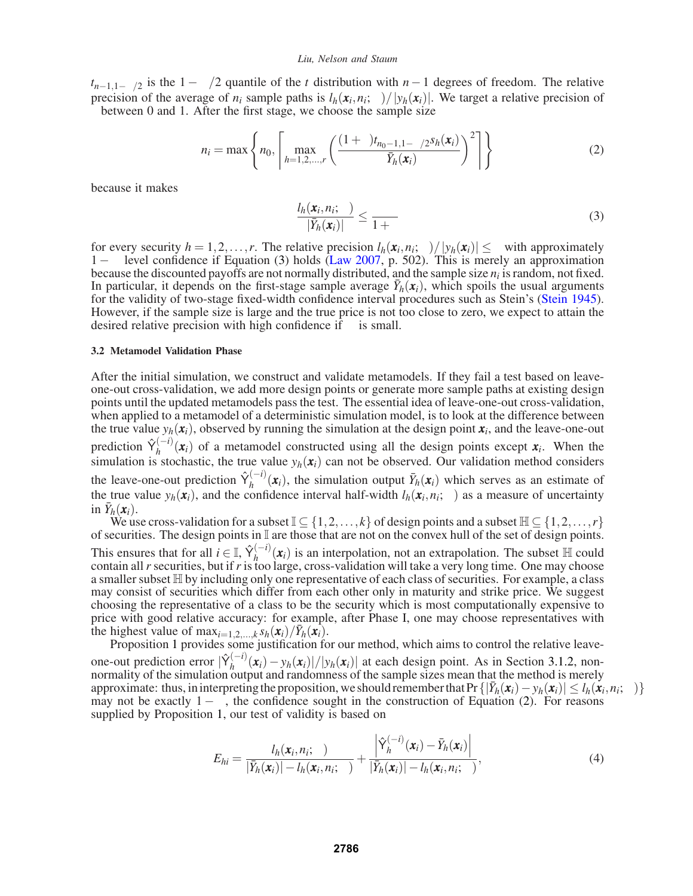$t_{n-1,1-\alpha/2}$  is the  $1-\alpha/2$  quantile of the *t* distribution with *n*−1 degrees of freedom. The relative precision of the average of  $n_i$  sample paths is  $l_h(\mathbf{x}_i, n_i; \alpha) / |y_h(\mathbf{x}_i)|$ . We target a relative precision of  $\gamma$  between 0 and 1. After the first stage, we choose the sample size

$$
n_{i} = \max \left\{ n_{0}, \left[ \max_{h=1,2,...,r} \left( \frac{(1+\gamma)t_{n_{0}-1,1-\alpha/2} s_{h}(\mathbf{x}_{i})}{\gamma \bar{Y}_{h}(\mathbf{x}_{i})} \right)^{2} \right] \right\}
$$
(2)

because it makes

$$
\frac{l_h(\mathbf{x}_i, n_i; \alpha)}{|\bar{Y}_h(\mathbf{x}_i)|} \le \frac{\gamma}{1+\gamma}
$$
\n(3)

for every security  $h = 1, 2, ..., r$ . The relative precision  $l_h(\mathbf{x}_i, n_i; \alpha) / |y_h(\mathbf{x}_i)| \leq \gamma$  with approximately  $1-\alpha$  level confidence if Equation (3) holds (Law 2007, p. 502). This is merely an approximation because the discounted payoffs are not normally distributed, and the sample size  $n_i$  is random, not fixed. In particular, it depends on the first-stage sample average  $\bar{Y}_h(\pmb{x}_i)$ , which spoils the usual arguments for the validity of two-stage fixed-width confidence interval procedures such as Stein's (Stein 1945). However, if the sample size is large and the true price is not too close to zero, we expect to attain the desired relative precision with high confidence if  $\alpha$  is small.

### **3.2 Metamodel Validation Phase**

After the initial simulation, we construct and validate metamodels. If they fail a test based on leaveone-out cross-validation, we add more design points or generate more sample paths at existing design points until the updated metamodels pass the test. The essential idea of leave-one-out cross-validation, when applied to a metamodel of a deterministic simulation model, is to look at the difference between the true value  $y_h(\mathbf{x}_i)$ , observed by running the simulation at the design point  $\mathbf{x}_i$ , and the leave-one-out prediction  $\hat{\gamma}_h^{(-i)}(x_i)$  of a metamodel constructed using all the design points except  $x_i$ . When the simulation is stochastic, the true value  $y_h(x_i)$  can not be observed. Our validation method considers the leave-one-out prediction  $\hat{Y}_h^{(-i)}(x_i)$ , the simulation output  $\bar{Y}_h(x_i)$  which serves as an estimate of the true value  $y_h(\mathbf{x}_i)$ , and the confidence interval half-width  $l_h(\mathbf{x}_i,n_i;\alpha)$  as a measure of uncertainty in  $\bar{Y}_h(\mathbf{x}_i)$ .

We use cross-validation for a subset  $\mathbb{I} \subseteq \{1,2,\ldots,k\}$  of design points and a subset  $\mathbb{H} \subseteq \{1,2,\ldots,r\}$ of securities. The design points in I are those that are not on the convex hull of the set of design points. This ensures that for all  $i \in \mathbb{I}$ ,  $\hat{Y}_h^{(-i)}(x_i)$  is an interpolation, not an extrapolation. The subset  $\mathbb{H}$  could contain all*r* securities, but if*r* is too large, cross-validation will take a very long time. One may choose a smaller subset  $H$  by including only one representative of each class of securities. For example, a class may consist of securities which differ from each other only in maturity and strike price. We suggest choosing the representative of a class to be the security which is most computationally expensive to price with good relative accuracy: for example, after Phase I, one may choose representatives with the highest value of  $\max_{i=1,2,\dots,k} s_h(\mathbf{x}_i)/\bar{Y}_h(\mathbf{x}_i)$ .

Proposition 1 provides some justification for our method, which aims to control the relative leaveone-out prediction error  $|\hat{Y}_h^{(-i)}(\mathbf{x}_i) - y_h(\mathbf{x}_i)|/|y_h(\mathbf{x}_i)|$  at each design point. As in Section 3.1.2, non-<br>normality of the simulation output and randomness of the sample sizes mean that the method is merely approximate: thus, in interpreting the proposition, we should remember that Pr  $\{|\bar{Y}_h(\mathbf{x}_i) - y_h(\mathbf{x}_i)| \leq l_h(\mathbf{x}_i, n_i; \alpha)\}$ may not be exactly  $1 - \alpha$ , the confidence sought in the construction of Equation (2). For reasons supplied by Proposition 1, our test of validity is based on

$$
E_{hi} = \frac{l_h(\mathbf{x}_i, n_i; \alpha)}{|\bar{Y}_h(\mathbf{x}_i)| - l_h(\mathbf{x}_i, n_i; \alpha)} + \frac{\left|\hat{Y}_h^{(-i)}(\mathbf{x}_i) - \bar{Y}_h(\mathbf{x}_i)\right|}{|\bar{Y}_h(\mathbf{x}_i)| - l_h(\mathbf{x}_i, n_i; \alpha)},
$$
(4)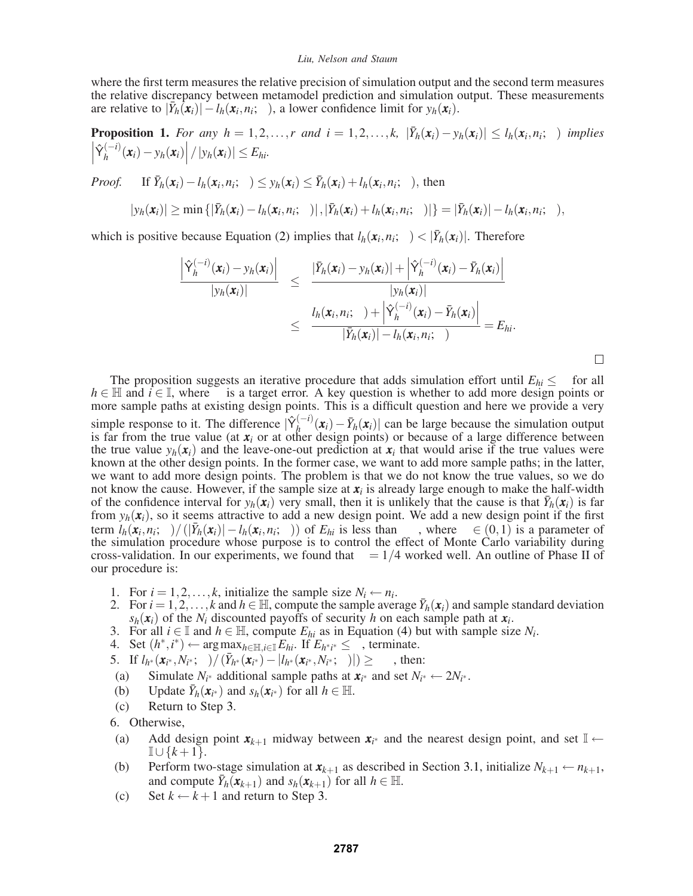where the first term measures the relative precision of simulation output and the second term measures the relative discrepancy between metamodel prediction and simulation output. These measurements are relative to  $|\bar{Y}_h(\mathbf{x}_i)| - l_h(\mathbf{x}_i, n_i; \alpha)$ , a lower confidence limit for  $y_h(\mathbf{x}_i)$ .

**Proposition 1.** For any  $h = 1, 2, ..., r$  and  $i = 1, 2, ..., k$ ,  $|\bar{Y}_h(\mathbf{x}_i) - y_h(\mathbf{x}_i)| \leq l_h(\mathbf{x}_i, n_i; \alpha)$  *implies*  $\begin{array}{c} \hline \end{array}$  $\left|\hat{\gamma}_h^{(-i)}(\mathbf{x}_i) - y_h(\mathbf{x}_i)\right| / |\mathbf{y}_h(\mathbf{x}_i)| \leq E_{hi}.$ 

*Proof.* If  $\bar{Y}_h(\mathbf{x}_i) - l_h(\mathbf{x}_i, n_i; \alpha) \leq y_h(\mathbf{x}_i) \leq \bar{Y}_h(\mathbf{x}_i) + l_h(\mathbf{x}_i, n_i; \alpha)$ , then

$$
|y_h(\boldsymbol{x}_i)| \geq \min\left\{|\bar{Y}_h(\boldsymbol{x}_i) - l_h(\boldsymbol{x}_i, n_i; \alpha)|, |\bar{Y}_h(\boldsymbol{x}_i) + l_h(\boldsymbol{x}_i, n_i; \alpha)|\right\} = |\bar{Y}_h(\boldsymbol{x}_i)| - l_h(\boldsymbol{x}_i, n_i; \alpha),
$$

which is positive because Equation (2) implies that  $l_h(\mathbf{x}_i, n_i; \alpha) < |\bar{Y}_h(\mathbf{x}_i)|$ . Therefore

$$
\frac{\left|\hat{Y}_h^{(-i)}(\mathbf{x}_i) - y_h(\mathbf{x}_i)\right|}{|y_h(\mathbf{x}_i)|} \leq \frac{\left|\bar{Y}_h(\mathbf{x}_i) - y_h(\mathbf{x}_i)\right| + \left|\hat{Y}_h^{(-i)}(\mathbf{x}_i) - \bar{Y}_h(\mathbf{x}_i)\right|}{|y_h(\mathbf{x}_i)|}\n\n\leq \frac{l_h(\mathbf{x}_i, n_i; \alpha) + \left|\hat{Y}_h^{(-i)}(\mathbf{x}_i) - \bar{Y}_h(\mathbf{x}_i)\right|}{|\bar{Y}_h(\mathbf{x}_i)| - l_h(\mathbf{x}_i, n_i; \alpha)} = E_{hi}.
$$

The proposition suggests an iterative procedure that adds simulation effort until  $E_{hi} \leq \beta$  for all  $h \in \mathbb{H}$  and  $i \in \mathbb{I}$ , where  $\beta$  is a target error. A key question is whether to add more design points or more sample paths at existing design points. This is a difficult question and here we provide a very simple response to it. The difference  $|\hat{Y}_h^{(-i)}(\mathbf{x}_i) - \bar{Y}_h(\mathbf{x}_i)|$  can be large because the simulation output is far from the true value (at  $x_i$  or at other design points) or because of a large difference between the true value  $y_h(x_i)$  and the leave-one-out prediction at  $x_i$  that would arise if the true values were known at the other design points. In the former case, we want to add more sample paths; in the latter, we want to add more design points. The problem is that we do not know the true values, so we do not know the cause. However, if the sample size at  $x_i$  is already large enough to make the half-width of the confidence interval for  $y_h(\mathbf{x}_i)$  very small, then it is unlikely that the cause is that  $\bar{Y}_h(\mathbf{x}_i)$  is far from  $y_h(x_i)$ , so it seems attractive to add a new design point. We add a new design point if the first term  $l_h(\mathbf{x}_i, n_i; \alpha) / (|\bar{Y}_h(\mathbf{x}_i)| - l_h(\mathbf{x}_i, n_i; \alpha))$  of  $E_{hi}$  is less than  $\lambda \beta$ , where  $\lambda \in (0,1)$  is a parameter of the simulation procedure whose purpose is to control the effect of Monte Carlo variability during cross-validation. In our experiments, we found that  $\lambda = 1/4$  worked well. An outline of Phase II of our procedure is:

- 1. For  $i = 1, 2, \ldots, k$ , initialize the sample size  $N_i \leftarrow n_i$ .
- 2. For  $i = 1, 2, \ldots, k$  and  $h \in \mathbb{H}$ , compute the sample average  $\bar{Y}_h(\mathbf{x}_i)$  and sample standard deviation  $s_h(\mathbf{x}_i)$  of the *N<sub>i</sub>* discounted payoffs of security *h* on each sample path at  $\mathbf{x}_i$ .
- 3. For all  $i \in \mathbb{I}$  and  $h \in \mathbb{H}$ , compute  $E_{hi}$  as in Equation (4) but with sample size  $N_i$ .
- 4. Set (*h*∗,*i* <sup>∗</sup>) ← argmax*h*∈H,*i*∈<sup>I</sup>*Ehi*. If *Eh*∗*<sup>i</sup>* <sup>∗</sup> ≤ β, terminate.
- 5. If  $l_{h^*}(\mathbf{x}_{i^*}, N_{i^*}; \alpha) / (\bar{Y}_{h^*}(\mathbf{x}_{i^*}) |l_{h^*}(\mathbf{x}_{i^*}, N_{i^*}; \alpha)|) \geq \lambda \beta$ , then:
- (a) Simulate  $N_{i^*}$  additional sample paths at  $x_{i^*}$  and set  $N_{i^*} \leftarrow 2N_{i^*}$ .
- (b) Update  $\bar{Y}_h(\mathbf{x}_{i^*})$  and  $s_h(\mathbf{x}_{i^*})$  for all  $h \in \mathbb{H}$ .
- (c) Return to Step 3.
- 6. Otherwise,
- (a) Add design point  $\mathbf{x}_{k+1}$  midway between  $\mathbf{x}_{i^*}$  and the nearest design point, and set  $\mathbb{I} \leftarrow$ <sup>I</sup>∪ {*k*+1}.
- (b) Perform two-stage simulation at  $x_{k+1}$  as described in Section 3.1, initialize  $N_{k+1} \leftarrow n_{k+1}$ , and compute  $\overline{Y}_h(\mathbf{x}_{k+1})$  and  $s_h(\mathbf{x}_{k+1})$  for all  $h \in \mathbb{H}$ .
- (c) Set  $k \leftarrow k+1$  and return to Step 3.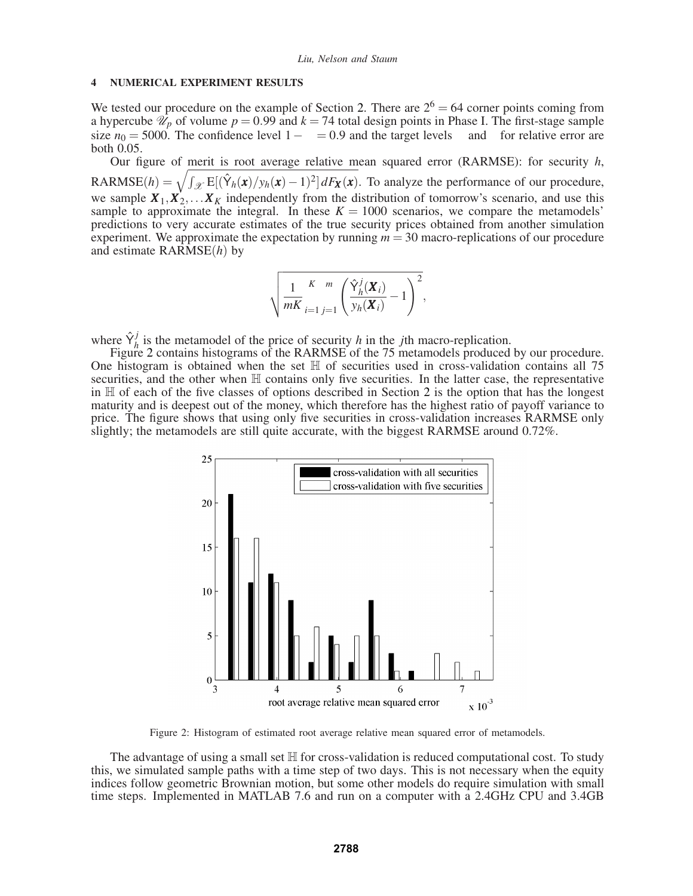### **4 NUMERICAL EXPERIMENT RESULTS**

We tested our procedure on the example of Section 2. There are  $2^6 = 64$  corner points coming from a hypercube  $\hat{\mathcal{U}}_p$  of volume  $p = 0.99$  and  $k = 74$  total design points in Phase I. The first-stage sample size  $n_0 = 5000$ . The confidence level  $1 - \alpha = 0.9$  and the target levels  $\beta$  and  $\gamma$  for relative error are both 0.05.

Our figure of merit is root average relative mean squared error (RARMSE): for security *h*,  $RARMSE(h) = \sqrt{\int_{\mathcal{X}} E[(\hat{Y}_h(\bm{x})/y_h(\bm{x}) - 1)^2] dF_{\bm{X}}(\bm{x})}$ . To analyze the performance of our procedure, we sample  $X_1, X_2, \ldots X_K$  independently from the distribution of tomorrow's scenario, and use this sample to approximate the integral. In these  $K = 1000$  scenarios, we compare the metamodels' predictions to very accurate estimates of the true security prices obtained from another simulation experiment. We approximate the expectation by running *m* = 30 macro-replications of our procedure and estimate RARMSE(*h*) by

$$
\sqrt{\frac{1}{mK}\sum_{i=1}^K\sum_{j=1}^m\left(\frac{\hat{\mathsf{Y}}_h^j(\boldsymbol{X}_i)}{y_h(\boldsymbol{X}_i)}-1\right)^2},
$$

where  $\hat{Y}_h^j$  is the metamodel of the price of security *h* in the *j*th macro-replication.

Figure 2 contains histograms of the RARMSE of the 75 metamodels produced by our procedure. One histogram is obtained when the set  $H$  of securities used in cross-validation contains all 75 securities, and the other when  $H$  contains only five securities. In the latter case, the representative in  $H$  of each of the five classes of options described in Section 2 is the option that has the longest maturity and is deepest out of the money, which therefore has the highest ratio of payoff variance to price. The figure shows that using only five securities in cross-validation increases RARMSE only slightly; the metamodels are still quite accurate, with the biggest RARMSE around 0.72%.



Figure 2: Histogram of estimated root average relative mean squared error of metamodels.

The advantage of using a small set  $\mathbb H$  for cross-validation is reduced computational cost. To study this, we simulated sample paths with a time step of two days. This is not necessary when the equity indices follow geometric Brownian motion, but some other models do require simulation with small time steps. Implemented in MATLAB 7.6 and run on a computer with a 2.4GHz CPU and 3.4GB